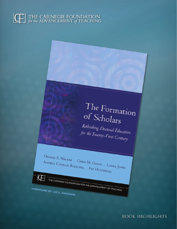# 

# The Formation of Scholars

Rethinking Doctoral Education for the Twenty-First Century

GEORGE E. WALKER . CHRIS M. GOLDE . LAURA JONES ANDREA CONKLIN BUESCHEL . PAT HUTCHINGS

THE CARNEGIE FOUNDATION FOR THE ADVANCEMENT OF TEACHING

G

FOREWORD BY LEE S. SHULMAN

**BOOK HIGHLIGHTS**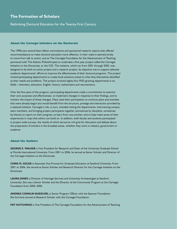## **The Formation of Scholars**

Rethinking Doctoral Education for the Twenty-First Century

#### **About the Carnegie Initiative on the Doctorate**

The 1990s saw several blue-ribbon commissions and sponsored research reports that offered recommendations to make doctoral education more effective. In their wake it seemed timely to move from talk to action, and so The Carnegie Foundation for the Advancement of Teaching partnered with The Atlantic Philanthropies to undertake a five-year project called the Carnegie Initiative on the Doctorate, or the CID. The initiative, which ran from 2001 through 2005, was designed to be both an action project and a research project. Its objective was to support selected academic departments' efforts to improve the effectiveness of their doctoral programs. The project invited participating departments to create local solutions suited to what they themselves identified as their needs and problems. The project involved eighty-four PhD-granting departments in six fields—chemistry, education, English, history, mathematics and neuroscience.

Over the five years of the program, participating departments made a commitment to examine their own purposes and effectiveness, to implement changes in response to their findings, and to monitor the impact of those changes. Many used their participation to continue plans and activities that were already begun but would benefit from the structure, prestige and interaction provided by a national initiative. Carnegie's role, in turn, included visiting the departments, interviewing campus team members, and bringing project participants together (sometimes by discipline, sometimes by theme) to report on their progress, to learn from one another, and to help make sense of their experiences in ways that others can build on. In addition, both faculty and students participated in project-wide surveys, the results of which served as rich grist for discussion and debate about the preparation of scholars in the broadest sense, whether they work in industry, government or academe.

#### **About the Authors**

**GEORGE E. WALKER** is Vice President for Research and Dean of the University Graduate School at Florida International University. From 2001 to 2006, he served as Senior Scholar and Director of the Carnegie Initiative on the Doctorate.

**CHRIS M. GOLDE** is Associate Vice Provost for Graduate Education at Stanford University. From 2001 to 2006, she served as Senior Scholar and Research Director for the Carnegie Initiative on the Doctorate.

**Laura Jones** is Director of Heritage Services and University Archaeologist at Stanford University. She was a Senior Scholar and the Director of the Community Program at the Carnegie Foundation from 2000–2006.

**ANDREA CONKLIN BUESCHEL** is Senior Program Officer with the Spencer Foundation. She formerly served as Research Scholar with the Carnegie Foundation.

**PAT HUTCHINGS** is Vice President of The Carnegie Foundation for the Advancement of Teaching.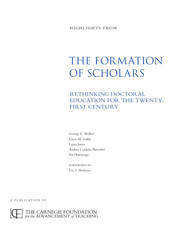# THE FORMATION OF SCHOLARS

rethinking doctoral education for the twenty-FIRST CENTURY

George E. Walker Chris M. Golde Laura Jones Andrea Conklin Bueschel Pat Hutchings

FOR EWORD BY Lee S. Shulman

A PUBLICATION OF

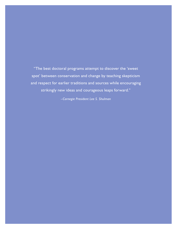"The best doctoral programs attempt to discover the 'sweet spot' between conservation and change by teaching skepticism and respect for earlier traditions and sources while encouraging strikingly new ideas and courageous leaps forward."

*–Carnegie President Lee S. Shulman*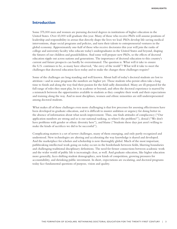## **Introduction**

Some 375,000 men and women are pursuing doctoral degrees in institutions of higher education in the United States. Over 43,000 will graduate this year. Many of those who receive PhDs will assume positions of leadership and responsibility in arenas that directly shape the lives we lead. PhDs develop life-saving medical interventions, shape social programs and policies, and turn their talents to entrepreneurial ventures in the global economy. Approximately one-half of those who receive doctorates this year will join the ranks of college and university faculty who educate today's undergraduates in the United States and beyond, shaping the futures of our children and grandchildren. And some will prepare new PhDs, so the effects of doctoral education ripple out across nations and generations. The importance of doctoral education to this country's current and future prospects can hardly be overestimated. The question is: What will it take to ensure the U.S. continues to be, as many have observed, "the envy of the world"? What will it take to meet the challenges that doctoral education faces today and to make the changes those challenges require?

Some of the challenges are long standing and well known. About half of today's doctoral students are lost to attrition—and in some programs the numbers are higher yet. Those students who persist often take a long time to finish and along the way find their passion for the field sadly diminished. Many are ill-prepared for the full range of roles they must play, be it in academe or beyond, and often the doctoral experience is marred by a mismatch between the opportunities available to students as they complete their work and their expectations and training along the way. And in most disciplines, women and ethnic minorities are still underrepresented among doctoral students.

What makes all of these challenges even more challenging is that few processes for assessing effectiveness have been developed in graduate education, and it is difficult to muster ambition or urgency for doing better in the absence of information about what needs improvement. Thus, one finds attitudes of complacency ("Our application numbers are strong and so is our national ranking, so where's the problem?"), denial ("We don't have problems with gender or ethnic diversity here"), and blame ("Students these days just aren't willing to make the kinds of sacrifices we did to be successful").

Complicating matters is a set of newer challenges, many of them emerging, and only partly recognized and understood. New technologies are altering and accelerating the way knowledge is shared and developed. And the marketplace for scholars and scholarship is now thoroughly global. Much of the most important, pathbreaking intellectual work going on today occurs in the borderlands between fields, blurring boundaries and challenging traditional disciplinary definitions. The need for firmer connections between academic work and the wider world of public life is increasingly clear, as well. And graduate education, like higher education more generally, faces shifting student demographics, new kinds of competition, growing pressures for accountability, and shrinking public investment. In short, expectations are escalating, and doctoral programs today face fundamental questions of purpose, vision and quality.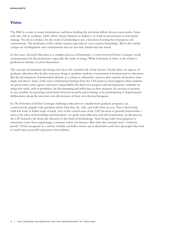# **Vision**

The PhD is a route to many destinations, and those holding the doctorate follow diverse career paths. Some seek out a life in academe, while others choose business or industry, or work in government or non-profit settings. Yet all are scholars, for the work of scholarship is not a function of setting but of purpose and commitment. The profession of the scholar requires specialized, even esoteric knowledge. But it also entails a larger set of obligations and commitments that are not only intellectual but moral.

In this sense, doctoral education is a complex process of formation—a term borrowed from Carnegie's work on preparation for the professions, especially the study of clergy. What is formed, in short, is the scholar's professional identity in all its dimensions.

The concept of formation also brings into focus the essential role of the learner. Clearly there are aspects of graduate education that faculty must pass along to graduate students; transmission is fundamental to education. But the development of professional identity as a scholar is ultimately a process that students themselves must shape and direct. Some of the most exhilarating findings from the CID point to what happens when students are given more active agency and more responsibility for their own progress and development—whether by using new tools, such as portfolios, for documenting and reflecting on their progress; by serving as mentors to one another; by pursuing connections between research and teaching; or by participating in departmental deliberations about the structure and effectiveness of their own doctoral program.

In *The Formation of Scholars* Carnegie challenges educators to consider how graduate programs can constructively grapple with questions about what they do, why, and with what success. This is hard work, with few tools or habits ready at hand. One of the central aims of the CID has been to provide frameworks such as the ideas of stewardship and formation—to guide such reflection and self examination. In the process, the CID learned a lot about the obstacles to this kind of stocktaking—how living with cross-purposes is sometimes easier than negotiating a common vision, for instance. But what also emerged were "existence proofs" of how programs in a variety of fields can hold a mirror up to themselves and enact principles that lead to much more powerful experiences for students.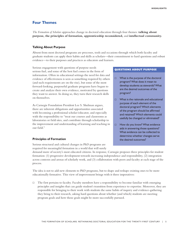# **Four Themes**

*The Formation of Scholars* approaches change in doctoral education through four themes: **talking about purpose, the principles of formation, apprenticeship reconsidered,** and **intellectual community.**

#### **Talking About Purpose**

Absent from most doctoral programs are processes, tools and occasions through which both faculty and graduate students can apply their habits and skills as scholars—their commitment to hard questions and robust evidence—to their purposes and practices as educators and learners.

Serious engagement with questions of purpose needs serious fuel, and some of the best fuel comes in the form of information. Often in educational settings the need for data and evidence of effectiveness is seen as something required by others (and such requirements are on the rise), but some of the most forward-looking, purposeful graduate programs have begun to create and analyze their own evidence, motivated by questions they want to answer. In doing so, they turn their research skills on themselves.

As Carnegie Foundation President Lee S. Shulman argues, there are inherent obligations and opportunities associated with becoming a professional scholar/educator, and especially with the responsibility to "treat our courses and classrooms as laboratories or field sites, and contribute through scholarship to the improvement and understanding of learning and teaching in our field."

## **Principles of Formation**

Serious structural and cultural changes in PhD programs are required for meaningful formation in a world that will surely

#### **Questions About Purpose**

- $\Box$  What is the purpose of the doctoral program? What does it mean to develop students as stewards? What are the desired outcomes of the program?
- $\Box$  What is the rationale and educational purpose of each element of the doctoral program? Which elements of the program should be affirmed and retained? Which elements could usefully be changed or eliminated?
- $\Box$  How do you know? What evidence aids in answering those questions? What evidence can be collected to determine whether changes serve the desired outcomes?

demand more of society's most educated citizens. In response, Carnegie proposes three principles for student formation: (1) progressive development towards increasing independence and responsibility, (2) integration across contexts and arenas of scholarly work, and (3) collaboration with peers and faculty at each stage of the process.

The idea is not to add new elements to PhD programs, but to shape and reshape existing ones to be more educationally formative. This view of improvement brings with it three imperatives:

 $\Box$  The first pertains to faculty. Faculty members have a responsibility to become familiar with emerging principles and insights that can guide student's transition from experience to expertise. Moreover, they are responsible for bringing to their work with students the same habits of inquiry and evidence-gathering they bring to their research, asking hard questions about whether (and which) students are meeting program goals and how those goals might be more successfully pursued.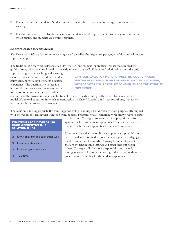- $\Box$  The second refers to students. Students must be responsible, active, intentional agents in their own learning.
- $\Box$  The third imperative involves both faculty and students. Real improvement must be a joint venture in which faculty and students are genuine partners.

#### **Apprenticeship Reconsidered**

*The Formation of Scholars* focuses on what might well be called the "signature pedagogy" of doctoral education, apprenticeship.

The tradition of close work between a faculty "master" and student "apprentice" has its roots in medieval guild culture, which then took hold in the early university as well. This central relationship is not the only

approach to graduate teaching and learning; there are courses, seminars and independent study. But apprenticeship remains a central experience. The question is whether it is serving the purposes most important to the formation of scholars in the twenty-first

**Carnegie calls for more purposeful, coordinated, multigenerational forms of mentoring and advising, with greater collective responsibility for the student experience.**

century, and the answer is that it is not. Students in many fields would greatly benefit from an alternative model of doctoral education in which apprenticeship is a shared function, and a reciprocal one, that fosters learning for both professor and student.

The solution is to reappropriate the term "apprenticeship" and urge it in directions more purposefully aligned with the vision of learning that is needed from doctoral programs today, combined with known ways to foster

#### **strategies for developing good apprenticeship relationships**

- $\Box$  Know one's self and each other well.
- $\Box$  Communicate clearly.
- $\Box$  Provide regular feedback.
- $\Box$  Take time.

that learning. Carnegie proposes a shift of prepositions: from a system in which students are apprenticed *to* a faculty mentor, to one in which they are apprenticed *with* several mentors.

It becomes clear that the traditional apprenticeship model must be enlarged and modified to create a new signature pedagogy for the formation of stewards. Drawing from developments that are evident in some settings and disciplines but not in others, Carnegie calls for more purposeful, coordinated, multigenerational forms of mentoring and advising, with greater collective responsibility for the student experience.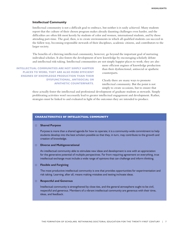### **Intellectual Community**

Intellectual community is not a difficult goal to embrace, but neither is it easily achieved. Many students report that the culture of their chosen program makes already daunting challenges even harder, and the difficulties are often felt most keenly by students of color and women, international students, and by those attending part-time. The goal, then, is to create environments in which all qualified students can succeed in the fullest way, becoming responsible stewards of their disciplines, academic citizens, and contributors to the larger society.

The benefits of a thriving intellectual community, however, go beyond the important goal of nurturing individual scholars. It also fosters the development of new knowledge by encouraging scholarly debate and intellectual risk-taking. Intellectual communities are not simply happier places to work; they are also

**Intellectual communities are not simply happier places to work; they are also more efficient engines of knowledge production than their dysfunctional, antisocial or apathetic counterparts.** more efficient engines of knowledge production than their dysfunctional, antisocial or apathetic counterparts.

Clearly there are many ways to promote intellectual community. But the point is not simply to create occasions, but to ensure that

these actually foster the intellectual and professional development of graduate students as stewards. Simply proliferating activities won't necessarily lead to greater intellectual engagement and development. Rather, strategies must be linked to and evaluated in light of the outcomes they are intended to produce.

#### **Characteristics of Intellectual Community**

#### k **Shared Purpose**

Purpose is more than a shared agenda for how to operate; it is a community-wide commitment to help students develop into the best scholars possible so that they, in turn, may contribute to the growth and creation of knowledge.

#### **Diverse and Multigenerational**

 An intellectual community able to stimulate new ideas and development is one with an appreciation for the generative potential of multiple perspectives. Far from requiring agreement on everything, true intellectual exchange must include a wide range of opinions that can challenge and inform thinking.

#### **Exible and Forgiving**

The most productive intellectual community is one that provides opportunities for experimentation and risk taking. Learning, after all, means making mistakes and testing inchoate ideas.

#### **Example 2 Respectful and Generous**

 Intellectual community is strengthened by close ties, and the general atmosphere ought to be civil, respectful and generous. Members of a vibrant intellectual community are generous with their time, ideas, and feedback.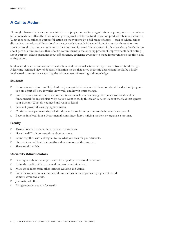# **A Call to Action**

No single charismatic leader, no one initiative or project, no solitary organization or group, and no one silverbullet remedy can effect the kinds of changes required to take doctoral education productively into the future. What is needed, rather, is purposeful action on many fronts by a full range of actors—each of whom brings distinctive strengths (and limitations) as an agent of change. It is by combining forces that those who care about doctoral education can now move the enterprise forward. The message of *The Formation of Scholars* is less about particular innovations than about a commitment to the ongoing process of improvement: deliberating about purpose, asking questions about effectiveness, gathering evidence to shape improvements over time, and taking action.

Students and faculty can take individual action, and individual actions add up to collective cultural change. A learning-centered view of doctoral education means that every academic department should be a lively intellectual community, celebrating the advancement of learning and knowledge.

### **Students**

- $\Box$  Become involved in—and help lead—a process of self-study and deliberation about the doctoral program you are a part of: how it works, how well, and how it must change.
- $\Box$  Find occasions and intellectual communities in which you can engage the questions that should be fundamental for any scholar: Why do you want to study this field? What is it about the field that ignites your passion? What do you need and want to learn?
- $\Box$  Seek out powerful learning opportunities.
- $\Box$  Cultivate multiple mentoring relationships and look for ways to make their benefits reciprocal.
- $\Box$  Become involved: join a departmental committee, host a visiting speaker, or organize a seminar.

### **Faculty**

- $\Box$  Turn scholarly lenses on the experience of students.
- $\Box$  Have the difficult conversations about purpose.
- $\Box$  Come together with colleagues to say what you seek for your students.
- $\Box$  Use evidence to identify strengths and weaknesses of the program.
- $\Box$  Share results widely.

### **University Administrators**

- $\Box$  Send signals about the importance of the quality of doctoral education.
- $\Box$  Raise the profile of departmental improvement initiatives.
- $\Box$  Make good ideas from other settings available and visible.
- $\Box$  Look for ways to connect successful innovations in undergraduate programs to work at more advanced levels.
- $\Box$  Join national efforts.
- $\Box$  Bring resources and ask for results.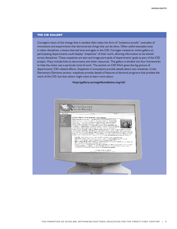## **the CID gallery**

Carnegie's vision of the change that is needed often takes the form of "existence proofs," examples of innovations and experiments that demonstrate things that can be done. Often useful examples exist in other disciplines, a lesson learned time and again in the CID. Carnegie created an online gallery so participating departments could display "snapshots" of their work, allowing information to be shared across disciplines. These snapshots are text and image portrayals of departments' goals as part of the CID project. Many include links to documents and other resources. The gallery is divided into four frameworks to help the visitor see a particular kind of work. The section on CID Work gives the big picture of departments' CID-related efforts. Snapshots in Innovations provide details about new initiatives. In the Elementary Elements section, snapshots provide details of features of doctoral programs that predate the work of the CID, but that others might want to learn more about.

**http://gallery.carnegiefoundation.org/cid/** 

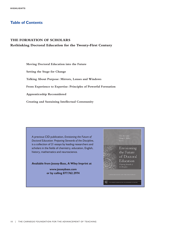# **Table of Contents**

## **THE FORMATION OF SCHOLARS**

## **Rethinking Doctoral Education for the Twenty-First Century**

**Moving Doctoral Education into the Future Setting the Stage for Change Talking About Purpose: Mirrors, Lenses and Windows From Experience to Expertise: Principles of Powerful Formation Apprenticeship Reconsidered Creating and Sustaining Intellectual Community**

A previous CID publication, *Envisioning the Future of Doctoral Education: Preparing Stewards of the Discipline*, is a collection of 21 essays by leading researchers and scholars in the fields of chemistry, education, English, history, mathematics and neuroscience.

**Available from Jossey-Bass, A Wiley Imprint at** 

**www.josseybass.com or by calling 877.762.2974** 

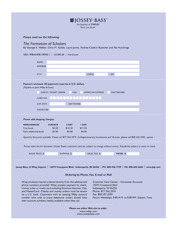| $\mathbf{\mathbf{\mathbf{\Xi}}}$ JOSSEY-BASS<br>An Imprint of <b>WILEY</b><br>Now you know.                                                                                                                                                                                                                                                                                                                                     |                                    |                              |                                   |                                                                                              |     |                                                                                                         |  |  |  |
|---------------------------------------------------------------------------------------------------------------------------------------------------------------------------------------------------------------------------------------------------------------------------------------------------------------------------------------------------------------------------------------------------------------------------------|------------------------------------|------------------------------|-----------------------------------|----------------------------------------------------------------------------------------------|-----|---------------------------------------------------------------------------------------------------------|--|--|--|
| Please send me the following:                                                                                                                                                                                                                                                                                                                                                                                                   |                                    |                              |                                   |                                                                                              |     |                                                                                                         |  |  |  |
| The Formation of Scholars<br>By George E. Walker, Chris M. Golde, Laura Jones, Andrea Conklin Bueschel and Pat Hutchings                                                                                                                                                                                                                                                                                                        |                                    |                              |                                   |                                                                                              |     |                                                                                                         |  |  |  |
| ISBN: 978-0-470-19743-1   US \$40.00                                                                                                                                                                                                                                                                                                                                                                                            |                                    | Hardcover                    |                                   |                                                                                              |     |                                                                                                         |  |  |  |
| <b>NAME</b><br><b>ADDRESS</b>                                                                                                                                                                                                                                                                                                                                                                                                   |                                    |                              |                                   |                                                                                              |     |                                                                                                         |  |  |  |
| <b>CITY</b>                                                                                                                                                                                                                                                                                                                                                                                                                     |                                    |                              | <b>STATE</b>                      |                                                                                              | ZIP |                                                                                                         |  |  |  |
| Payment enclosed. All payments must be in U.S. dollars.<br>(Payable to John Wiley & Sons)<br>CARD NO.<br><b>EXP. DATE</b>                                                                                                                                                                                                                                                                                                       | <b>CHECK / MONEY ORDER</b>         | <b>VISA</b><br>DAY PHONE     |                                   | <b>AMERICAN EXPRESS</b>                                                                      |     | <b>MASTERCARD</b>                                                                                       |  |  |  |
| SIGNATURE<br>Please add shipping charges:                                                                                                                                                                                                                                                                                                                                                                                       |                                    |                              |                                   |                                                                                              |     |                                                                                                         |  |  |  |
| <b>MERCHANDISE</b><br>First book<br>Each additional book                                                                                                                                                                                                                                                                                                                                                                        | <b>SURFACE</b><br>\$5.00<br>\$3.00 | $2-DAY$<br>\$10.50<br>\$3.00 | <b>I-DAY</b><br>\$17.50<br>\$4.00 |                                                                                              |     |                                                                                                         |  |  |  |
| Quantity discounts available. Please call 877.762.2974. College/university bookstores and libraries, please call 800.225.5945, option 1.                                                                                                                                                                                                                                                                                        |                                    |                              |                                   |                                                                                              |     |                                                                                                         |  |  |  |
| Prices listed are for domestic United States customers and are subject to change without notice. Availability subject to stock on hand.                                                                                                                                                                                                                                                                                         |                                    |                              |                                   |                                                                                              |     |                                                                                                         |  |  |  |
| <b>BOOK PRICE \$</b>                                                                                                                                                                                                                                                                                                                                                                                                            |                                    | SHIPPING \$                  |                                   | SALES TAX \$                                                                                 |     | TOTAL \$                                                                                                |  |  |  |
| Jossey-Bass, A Wiley Imprint   10475 Crosspoint Blvd., Indianapolis, IN 46256   PH: 800.956.7739   FX: 800.605.2665   www.jbp.com<br>Ordering by Phone, Fax, E-mail or Mail                                                                                                                                                                                                                                                     |                                    |                              |                                   |                                                                                              |     |                                                                                                         |  |  |  |
| Wiley products may be ordered directly from the address and<br>phone numbers provided. Wiley accepts payment by check,<br>money order or credit card including American Express, Visa,<br>and MasterCard. Checks and money orders must be drawn<br>on a U.S. bank. Customers with an existing Wiley account<br>number who wish to place telephone orders should have<br>their account numbers readily available when they call. |                                    |                              |                                   | 10475 Crosspoint Blvd.<br>Indianapolis, IN 46256<br>Phone: 877.762.2974<br>Fax: 800.597.3299 |     | <b>Customer Care Center - Consumer Accounts</b><br>Hours: Weekdays, 8:00 A.M. to 8:00 P.M. Eastern Time |  |  |  |
| Places use oithou Web site to order                                                                                                                                                                                                                                                                                                                                                                                             |                                    |                              |                                   |                                                                                              |     |                                                                                                         |  |  |  |

www.wiley.com<br>www.josseybass.com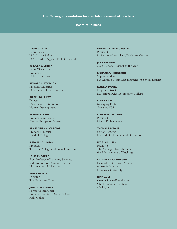Board of Trustees

**DAVID S. TATEL** Board Chair U. S. Circuit Judge U. S. Court of Appeals for D.C. Circuit

**Rebecca S. Chopp** Board Vice Chair President Colgate University

**Richard C. Atkinson**  President Emeritus University of California System

**Jürgen Baumert Director** Max Planck Institute for Human Development

**Yehuda Elkana** President and Rector Central European University

**Bernadine Chuck Fong**  President Emerita Foothill College

**Susan H. Fuhrman** President Teachers College, Columbia University

**Louis M. Gomez** Aon Professor of Learning Sciences and Professor of Computer Science Northwestern University

**Kati Haycock** Director The Education Trust

**Janet L. Holmgren** Former Board Chair President and Susan Mills Professor Mills College

**Freeman A. Hrabowski III**  President University of Maryland, Baltimore County

**Jason Kamras** 2005 National Teacher of the Year

**Richard A. Middleton**  Superintendent San Antonio North East Independent School District

**Renée A. Moore** English Instructor Mississippi Delta Community College

**Lynn Olson**  Managing Editor *Education Week*

**Eduardo J. Padrón** President Miami Dade College

**Thomas Payzant** Senior Lecturer Harvard Graduate School of Education

**Lee S. Shulman**  President The Carnegie Foundation for the Advancement of Teaching

**Catharine R. Stimpson** Dean of the Graduate School of Arts & Science New York University

**Nina Zolt**  Co-Chair, Co-Founder and Chief Program Architect ePALS, Inc.